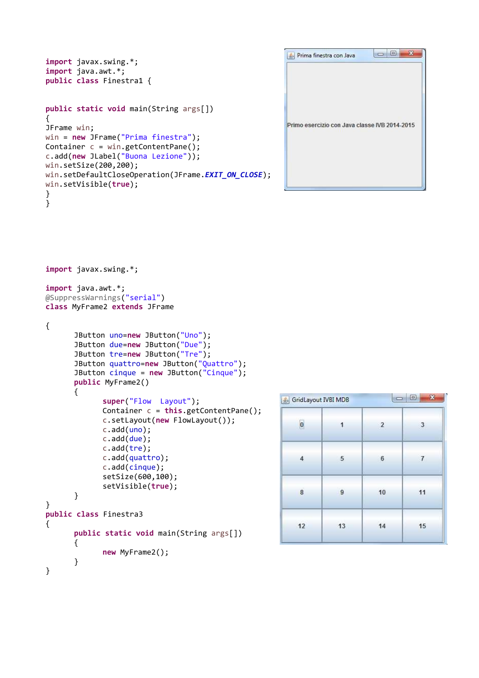```
import javax.swing.*; 
import java.awt.*; 
public class Finestra1 { 
public static void main(String args[]) 
{ 
JFrame win; 
win = new JFrame("Prima finestra"); 
Container c = win.getContentPane(); 
c.add(new JLabel("Buona Lezione")); 
win.setSize(200,200); 
win.setDefaultCloseOperation(JFrame.EXIT_ON_CLOSE);
win.setVisible(true); 
} 
}
```

| Prima finestra con Java<br>ଛ⊧                 | $\Box$<br>х |
|-----------------------------------------------|-------------|
| Primo esercizio con Java classe IVB 2014-2015 |             |
|                                               |             |

```
import javax.swing.*;
```
**import** java.awt.\*; @SuppressWarnings("serial") **class** MyFrame2 **extends** JFrame

```
{
```

```
 JButton uno=new JButton("Uno"); 
        JButton due=new JButton("Due"); 
        JButton tre=new JButton("Tre"); 
        JButton quattro=new JButton("Quattro"); 
        JButton cinque = new JButton("Cinque"); 
       public MyFrame2() 
        { 
               super("Flow Layout"); 
               Container c = this.getContentPane(); 
               c.setLayout(new FlowLayout()); 
               c.add(uno); 
               c.add(due); 
               c.add(tre); 
               c.add(quattro); 
               c.add(cinque); 
               setSize(600,100); 
               setVisible(true); 
        } 
} 
public class Finestra3 
{ 
       public static void main(String args[]) 
        { 
               new MyFrame2(); 
        } 
}
```

| $\mathbf{x}$<br>$\overline{a}$ |                |                 | GridLayout IVBI MDB |  |
|--------------------------------|----------------|-----------------|---------------------|--|
| $\overline{\mathbf{0}}$        | 1              | $\overline{2}$  | 3                   |  |
| $\overline{4}$                 | 5 <sub>1</sub> | $6\phantom{.0}$ | $\overline{7}$      |  |
| 8                              | 9              | 10              | 11                  |  |
| 12                             | 13             | 14              | 15                  |  |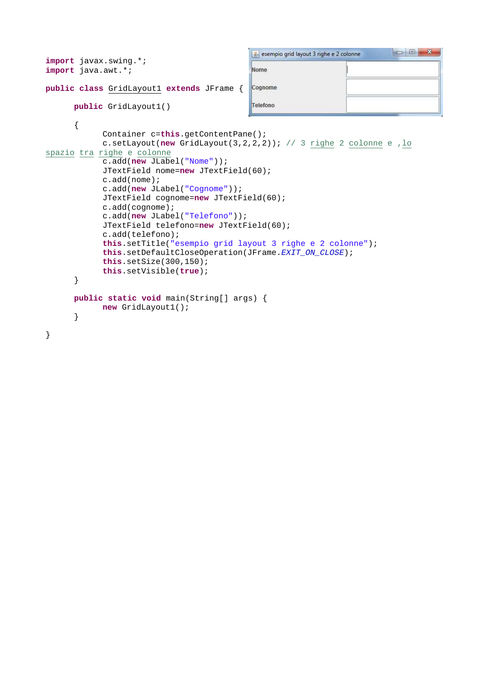```
esempio grid layout 3 righe e 2 colonne
import javax.swing.*; 
import java.awt.*; 
                                              Nome
public class GridLayout1 extends JFrame { 
                                              Cognome
      public GridLayout1() 
                                               Telefono
       { 
              Container c=this.getContentPane(); 
              c.setLayout(new GridLayout(3,2,2,2)); // 3 righe 2 colonne e ,lo
spazio tra righe e colonne
              c.add(new JLabel("Nome")); 
              JTextField nome=new JTextField(60); 
              c.add(nome); 
              c.add(new JLabel("Cognome")); 
              JTextField cognome=new JTextField(60); 
              c.add(cognome); 
              c.add(new JLabel("Telefono")); 
              JTextField telefono=new JTextField(60); 
              c.add(telefono); 
              this.setTitle("esempio grid layout 3 righe e 2 colonne"); 
             this.setDefaultCloseOperation(JFrame.EXIT_ON_CLOSE);
              this.setSize(300,150); 
              this.setVisible(true); 
       } 
      public static void main(String[] args) { 
              new GridLayout1(); 
       } 
}
```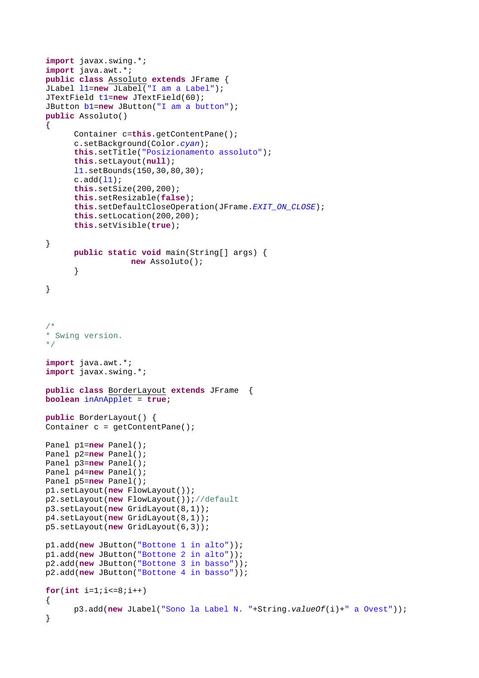```
import javax.swing.*; 
import java.awt.*; 
public class Assoluto extends JFrame { 
JLabel l1=new JLabel("I am a Label"); 
JTextField t1=new JTextField(60); 
JButton b1=new JButton("I am a button"); 
public Assoluto() 
{ 
       Container c=this.getContentPane(); 
       c.setBackground(Color.cyan); 
      this.setTitle("Posizionamento assoluto"); 
      this.setLayout(null); 
      l1.setBounds(150,30,80,30); 
      c.add(11);this.setSize(200,200); 
      this.setResizable(false); 
      this.setDefaultCloseOperation(JFrame.EXIT_ON_CLOSE); 
      this.setLocation(200,200); 
      this.setVisible(true); 
} 
      public static void main(String[] args) { 
                   new Assoluto(); 
       } 
} 
/*
* Swing version.
*/
import java.awt.*; 
import javax.swing.*; 
public class BorderLayout extends JFrame { 
boolean inAnApplet = true; 
public BorderLayout() { 
Container c = getContentPlane();
Panel p1=new Panel(); 
Panel p2=new Panel(); 
Panel p3=new Panel(); 
Panel p4=new Panel(); 
Panel p5=new Panel(); 
p1.setLayout(new FlowLayout()); 
p2.setLayout(new FlowLayout());//default
p3.setLayout(new GridLayout(8,1)); 
p4.setLayout(new GridLayout(8,1)); 
p5.setLayout(new GridLayout(6,3)); 
p1.add(new JButton("Bottone 1 in alto")); 
p1.add(new JButton("Bottone 2 in alto")); 
p2.add(new JButton("Bottone 3 in basso")); 
p2.add(new JButton("Bottone 4 in basso")); 
for(int i=1;i < 8;i + +)
{ 
       p3.add(new JLabel("Sono la Label N. "+String.valueOf(i)+" a Ovest")); 
}
```